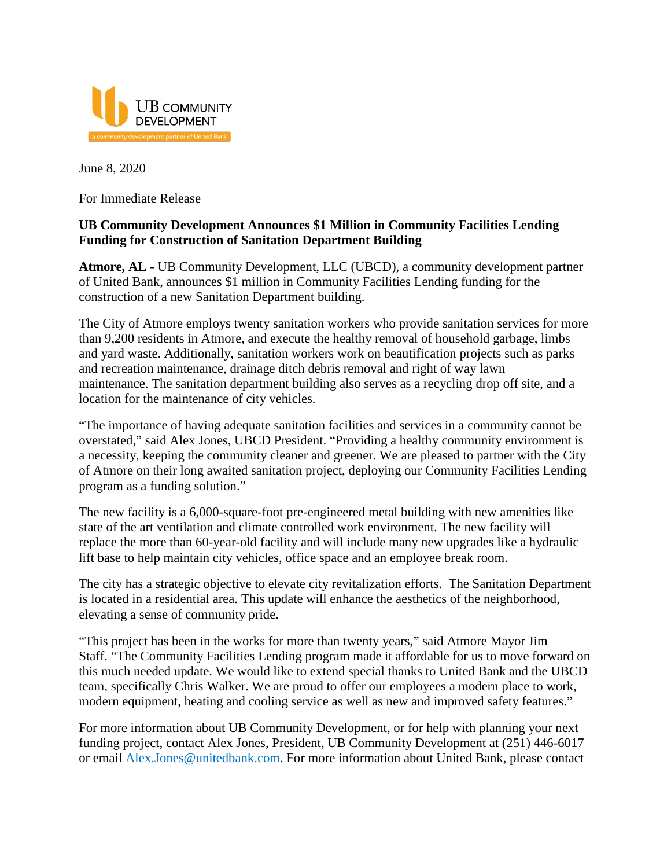

June 8, 2020

For Immediate Release

## **UB Community Development Announces \$1 Million in Community Facilities Lending Funding for Construction of Sanitation Department Building**

**Atmore, AL** - UB Community Development, LLC (UBCD), a community development partner of United Bank, announces \$1 million in Community Facilities Lending funding for the construction of a new Sanitation Department building.

The City of Atmore employs twenty sanitation workers who provide sanitation services for more than 9,200 residents in Atmore, and execute the healthy removal of household garbage, limbs and yard waste. Additionally, sanitation workers work on beautification projects such as parks and recreation maintenance, drainage ditch debris removal and right of way lawn maintenance. The sanitation department building also serves as a recycling drop off site, and a location for the maintenance of city vehicles.

"The importance of having adequate sanitation facilities and services in a community cannot be overstated," said Alex Jones, UBCD President. "Providing a healthy community environment is a necessity, keeping the community cleaner and greener. We are pleased to partner with the City of Atmore on their long awaited sanitation project, deploying our Community Facilities Lending program as a funding solution."

The new facility is a 6,000-square-foot pre-engineered metal building with new amenities like state of the art ventilation and climate controlled work environment. The new facility will replace the more than 60-year-old facility and will include many new upgrades like a hydraulic lift base to help maintain city vehicles, office space and an employee break room.

The city has a strategic objective to elevate city revitalization efforts. The Sanitation Department is located in a residential area. This update will enhance the aesthetics of the neighborhood, elevating a sense of community pride.

"This project has been in the works for more than twenty years," said Atmore Mayor Jim Staff. "The Community Facilities Lending program made it affordable for us to move forward on this much needed update. We would like to extend special thanks to United Bank and the UBCD team, specifically Chris Walker. We are proud to offer our employees a modern place to work, modern equipment, heating and cooling service as well as new and improved safety features."

For more information about UB Community Development, or for help with planning your next funding project, contact Alex Jones, President, UB Community Development at (251) 446-6017 or email [Alex.Jones@unitedbank.com.](mailto:Alex.Jones@unitedbank.com) For more information about United Bank, please contact